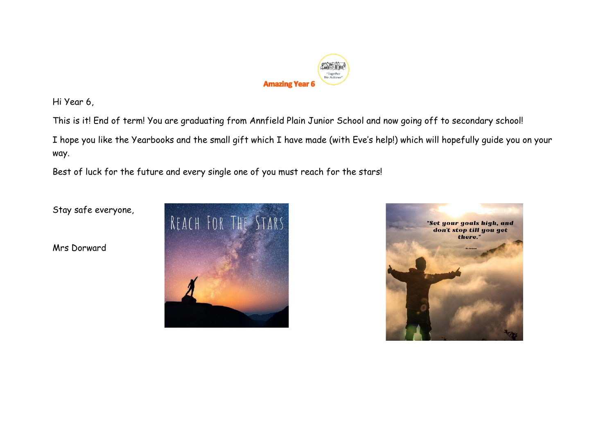

Hi Year 6,

This is it! End of term! You are graduating from Annfield Plain Junior School and now going off to secondary school!

I hope you like the Yearbooks and the small gift which I have made (with Eve's help!) which will hopefully guide you on your way.

Best of luck for the future and every single one of you must reach for the stars!

Stay safe everyone,

Mrs Dorward



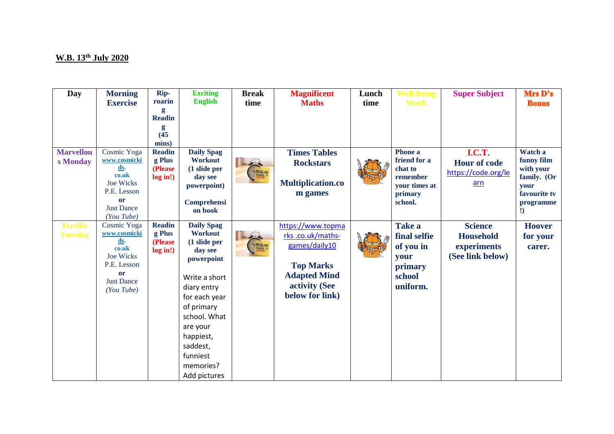## **W.B. 13th July 2020**

| <b>Day</b>       | <b>Morning</b>            | Rip-                   | <b>Exciting</b>    | <b>Break</b>     | <b>Magnificent</b>       | Lunch | <b>Well-being</b>        | <b>Super Subject</b> | Mrs D's              |
|------------------|---------------------------|------------------------|--------------------|------------------|--------------------------|-------|--------------------------|----------------------|----------------------|
|                  | <b>Exercise</b>           | roarin<br>g            | <b>English</b>     | time             | <b>Maths</b>             | time  | <b>Work</b>              |                      | <b>Bonus</b>         |
|                  |                           | <b>Readin</b>          |                    |                  |                          |       |                          |                      |                      |
|                  |                           | g                      |                    |                  |                          |       |                          |                      |                      |
|                  |                           | (45)                   |                    |                  |                          |       |                          |                      |                      |
| <b>Marvellou</b> | Cosmic Yoga               | mins)<br><b>Readin</b> | <b>Daily Spag</b>  |                  | <b>Times Tables</b>      |       | Phone a                  | I.C.T.               | Watch a              |
| s Monday         | www.cosmicki              | g Plus                 | <b>Workout</b>     |                  | <b>Rockstars</b>         |       | friend for a             | <b>Hour of code</b>  | funny film           |
|                  | ds.                       | (Please                | $(1)$ slide per    | BREAK            |                          |       | chat to                  | https://code.org/le  | with your            |
|                  | co.uk<br><b>Joe Wicks</b> | log in!)               | day see            |                  | <b>Multiplication.co</b> |       | remember                 | $arn$                | family. (Or          |
|                  | P.E. Lesson               |                        | powerpoint)        |                  | m games                  |       | your times at<br>primary |                      | vour<br>favourite tv |
|                  | or                        |                        | <b>Comprehensi</b> |                  |                          |       | school.                  |                      | programme            |
|                  | <b>Just Dance</b>         |                        | on book            |                  |                          |       |                          |                      | $\mathbf{D}$         |
| <b>Terrific</b>  | (You Tube)<br>Cosmic Yoga | <b>Readin</b>          | <b>Daily Spag</b>  |                  | https://www.topma        |       | Take a                   | <b>Science</b>       | <b>Hoover</b>        |
| <b>Tuesday</b>   | www.cosmicki              | g Plus                 | <b>Workout</b>     |                  | rks.co.uk/maths-         |       | final selfie             | <b>Household</b>     | for your             |
|                  | <u>ds</u> .               | (Please                | (1 slide per       | BREAK<br>TIME !! | games/daily10            |       | of you in                | experiments          | carer.               |
|                  | co.uk<br><b>Joe Wicks</b> | log in!)               | day see            |                  |                          |       | your                     | (See link below)     |                      |
|                  | P.E. Lesson               |                        | powerpoint         |                  | <b>Top Marks</b>         |       | primary                  |                      |                      |
|                  | or                        |                        | Write a short      |                  | <b>Adapted Mind</b>      |       | school                   |                      |                      |
|                  | <b>Just Dance</b>         |                        | diary entry        |                  | activity (See            |       | uniform.                 |                      |                      |
|                  | (You Tube)                |                        | for each year      |                  | below for link)          |       |                          |                      |                      |
|                  |                           |                        | of primary         |                  |                          |       |                          |                      |                      |
|                  |                           |                        | school. What       |                  |                          |       |                          |                      |                      |
|                  |                           |                        | are your           |                  |                          |       |                          |                      |                      |
|                  |                           |                        | happiest,          |                  |                          |       |                          |                      |                      |
|                  |                           |                        | saddest,           |                  |                          |       |                          |                      |                      |
|                  |                           |                        | funniest           |                  |                          |       |                          |                      |                      |
|                  |                           |                        | memories?          |                  |                          |       |                          |                      |                      |
|                  |                           |                        | Add pictures       |                  |                          |       |                          |                      |                      |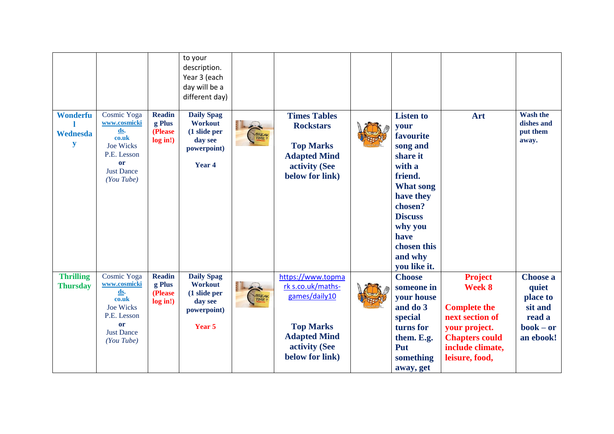|                                     |                                                                                                                         |                                                | to your<br>description.<br>Year 3 (each<br>day will be a<br>different day)                         |                  |                                                                                                                                        |                                                                                                                                                                                                               |                                                                                                                                                    |                                                                                       |
|-------------------------------------|-------------------------------------------------------------------------------------------------------------------------|------------------------------------------------|----------------------------------------------------------------------------------------------------|------------------|----------------------------------------------------------------------------------------------------------------------------------------|---------------------------------------------------------------------------------------------------------------------------------------------------------------------------------------------------------------|----------------------------------------------------------------------------------------------------------------------------------------------------|---------------------------------------------------------------------------------------|
| Wonderfu<br>Wednesda<br>y           | Cosmic Yoga<br>www.cosmicki<br>ds.<br>co.uk<br><b>Joe Wicks</b><br>P.E. Lesson<br>or<br><b>Just Dance</b><br>$(You_{i}$ | <b>Readin</b><br>g Plus<br>(Please<br>log in!) | <b>Daily Spag</b><br><b>Workout</b><br>(1 slide per<br>day see<br>powerpoint)<br>Year <sub>4</sub> | BREAK<br>TIME !! | <b>Times Tables</b><br><b>Rockstars</b><br><b>Top Marks</b><br><b>Adapted Mind</b><br>activity (See<br>below for link)                 | <b>Listen to</b><br>your<br>favourite<br>song and<br>share it<br>with a<br>friend.<br><b>What song</b><br>have they<br>chosen?<br><b>Discuss</b><br>why you<br>have<br>chosen this<br>and why<br>vou like it. | Art                                                                                                                                                | <b>Wash the</b><br>dishes and<br>put them<br>away.                                    |
| <b>Thrilling</b><br><b>Thursday</b> | Cosmic Yoga<br>www.cosmicki<br>ds.<br>co.uk<br><b>Joe Wicks</b><br>P.E. Lesson<br>or<br><b>Just Dance</b><br>(You Tube) | <b>Readin</b><br>g Plus<br>(Please<br>log in!) | <b>Daily Spag</b><br><b>Workout</b><br>(1 slide per<br>day see<br>powerpoint)<br>Year 5            | BREAK<br>TIME !! | https://www.topma<br>rk s.co.uk/maths-<br>games/daily10<br><b>Top Marks</b><br><b>Adapted Mind</b><br>activity (See<br>below for link) | <b>Choose</b><br>someone in<br>your house<br>and do 3<br>special<br>turns for<br>them. E.g.<br>Put<br>something<br>away, get                                                                                  | <b>Project</b><br>Week 8<br><b>Complete the</b><br>next section of<br>your project.<br><b>Chapters could</b><br>include climate,<br>leisure, food, | <b>Choose a</b><br>quiet<br>place to<br>sit and<br>read a<br>$book - or$<br>an ebook! |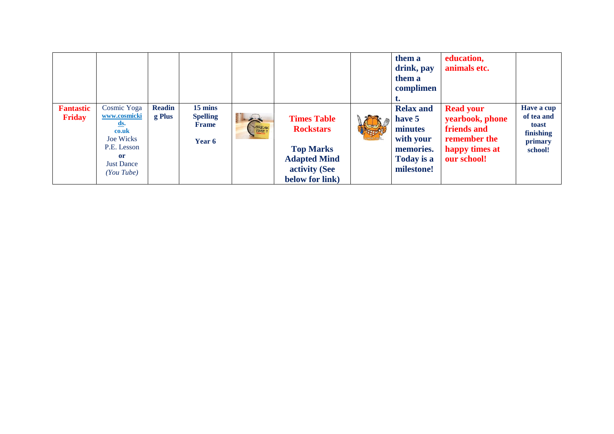|                            |                                                                                                                                                       |                         |                                                      |                        |                                                                                                                       | them a<br>drink, pay<br>them a<br>complimen                                                 | education,<br>animals etc.                                                                          |                                                                      |
|----------------------------|-------------------------------------------------------------------------------------------------------------------------------------------------------|-------------------------|------------------------------------------------------|------------------------|-----------------------------------------------------------------------------------------------------------------------|---------------------------------------------------------------------------------------------|-----------------------------------------------------------------------------------------------------|----------------------------------------------------------------------|
| <b>Fantastic</b><br>Friday | Cosmic Yoga<br>www.cosmicki<br><u>ds</u> .<br>co.uk<br><b>Joe Wicks</b><br>P.E. Lesson<br><sub>or</sub><br><b>Just Dance</b><br>$(You_{\text{Tube}})$ | <b>Readin</b><br>g Plus | 15 mins<br><b>Spelling</b><br><b>Frame</b><br>Year 6 | $\rightarrow$<br>BREAK | <b>Times Table</b><br><b>Rockstars</b><br><b>Top Marks</b><br><b>Adapted Mind</b><br>activity (See<br>below for link) | <b>Relax and</b><br>have 5<br>minutes<br>with your<br>memories.<br>Today is a<br>milestone! | <b>Read your</b><br>yearbook, phone<br>friends and<br>remember the<br>happy times at<br>our school! | Have a cup<br>of tea and<br>toast<br>finishing<br>primary<br>school! |